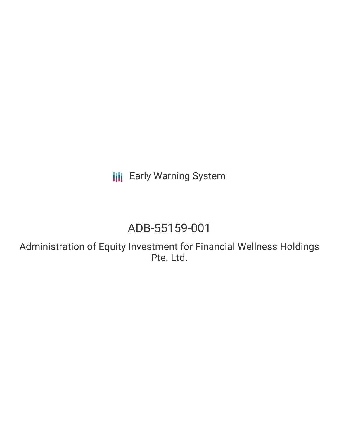**III** Early Warning System

# ADB-55159-001

Administration of Equity Investment for Financial Wellness Holdings Pte. Ltd.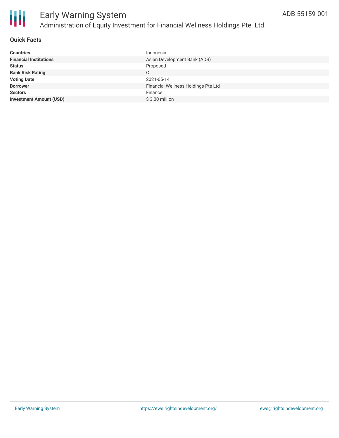

#### **Quick Facts**

| <b>Countries</b>               | Indonesia                           |
|--------------------------------|-------------------------------------|
| <b>Financial Institutions</b>  | Asian Development Bank (ADB)        |
| <b>Status</b>                  | Proposed                            |
| <b>Bank Risk Rating</b>        | C                                   |
| <b>Voting Date</b>             | 2021-05-14                          |
| <b>Borrower</b>                | Financial Wellness Holdings Pte Ltd |
| <b>Sectors</b>                 | Finance                             |
| <b>Investment Amount (USD)</b> | $$3.00$ million                     |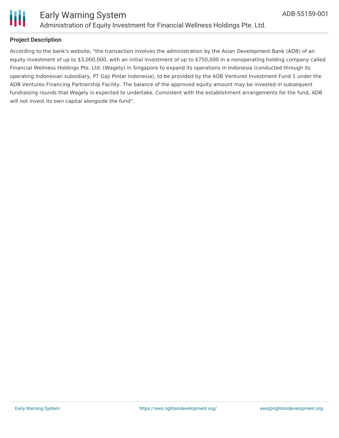

#### **Project Description**

According to the bank's website, "the transaction involves the administration by the Asian Development Bank (ADB) of an equity investment of up to \$3,000,000, with an initial investment of up to \$750,000 in a nonoperating holding company called Financial Wellness Holdings Pte. Ltd. (Wagely) in Singapore to expand its operations in Indonesia (conducted through its operating Indonesian subsidiary, PT Gaji Pintar Indonesia), to be provided by the ADB Ventures Investment Fund 1 under the ADB Ventures Financing Partnership Facility. The balance of the approved equity amount may be invested in subsequent fundraising rounds that Wagely is expected to undertake. Consistent with the establishment arrangements for the fund, ADB will not invest its own capital alongside the fund".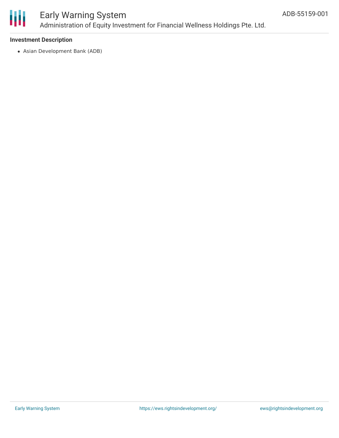

### Early Warning System Administration of Equity Investment for Financial Wellness Holdings Pte. Ltd.

#### **Investment Description**

Asian Development Bank (ADB)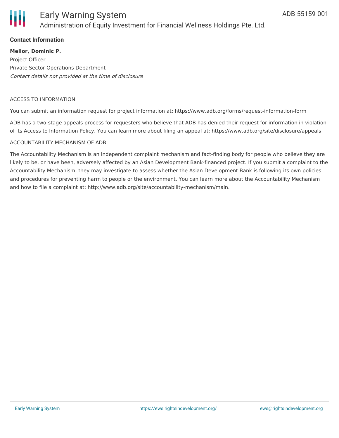

#### **Contact Information**

**Mellor, Dominic P.** Project Officer Private Sector Operations Department Contact details not provided at the time of disclosure

#### ACCESS TO INFORMATION

You can submit an information request for project information at: https://www.adb.org/forms/request-information-form

ADB has a two-stage appeals process for requesters who believe that ADB has denied their request for information in violation of its Access to Information Policy. You can learn more about filing an appeal at: https://www.adb.org/site/disclosure/appeals

#### ACCOUNTABILITY MECHANISM OF ADB

The Accountability Mechanism is an independent complaint mechanism and fact-finding body for people who believe they are likely to be, or have been, adversely affected by an Asian Development Bank-financed project. If you submit a complaint to the Accountability Mechanism, they may investigate to assess whether the Asian Development Bank is following its own policies and procedures for preventing harm to people or the environment. You can learn more about the Accountability Mechanism and how to file a complaint at: http://www.adb.org/site/accountability-mechanism/main.